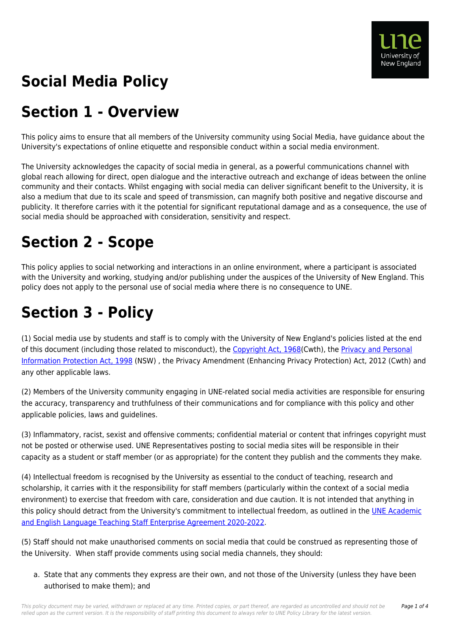

# **Social Media Policy**

### **Section 1 - Overview**

This policy aims to ensure that all members of the University community using Social Media, have guidance about the University's expectations of online etiquette and responsible conduct within a social media environment.

The University acknowledges the capacity of social media in general, as a powerful communications channel with global reach allowing for direct, open dialogue and the interactive outreach and exchange of ideas between the online community and their contacts. Whilst engaging with social media can deliver significant benefit to the University, it is also a medium that due to its scale and speed of transmission, can magnify both positive and negative discourse and publicity. It therefore carries with it the potential for significant reputational damage and as a consequence, the use of social media should be approached with consideration, sensitivity and respect.

### **Section 2 - Scope**

This policy applies to social networking and interactions in an online environment, where a participant is associated with the University and working, studying and/or publishing under the auspices of the University of New England. This policy does not apply to the personal use of social media where there is no consequence to UNE.

## **Section 3 - Policy**

(1) Social media use by students and staff is to comply with the University of New England's policies listed at the end of this document (including those related to misconduct), the [Copyright Act, 1968](https://policies.une.edu.au/directory-summary.php?legislation=811)(Cwth), the [Privacy and Personal](https://policies.une.edu.au/directory-summary.php?legislation=427) [Information Protection Act, 1998](https://policies.une.edu.au/directory-summary.php?legislation=427) (NSW) , the Privacy Amendment (Enhancing Privacy Protection) Act, 2012 (Cwth) and any other applicable laws.

(2) Members of the University community engaging in UNE-related social media activities are responsible for ensuring the accuracy, transparency and truthfulness of their communications and for compliance with this policy and other applicable policies, laws and guidelines.

(3) Inflammatory, racist, sexist and offensive comments; confidential material or content that infringes copyright must not be posted or otherwise used. UNE Representatives posting to social media sites will be responsible in their capacity as a student or staff member (or as appropriate) for the content they publish and the comments they make.

(4) Intellectual freedom is recognised by the University as essential to the conduct of teaching, research and scholarship, it carries with it the responsibility for staff members (particularly within the context of a social media environment) to exercise that freedom with care, consideration and due caution. It is not intended that anything in this policy should detract from the University's commitment to intellectual freedom, as outlined in the [UNE Academic](https://policies.une.edu.au/download.php?id=497&version=2&associated) [and English Language Teaching Staff Enterprise Agreement 2020-2022.](https://policies.une.edu.au/download.php?id=497&version=2&associated)

(5) Staff should not make unauthorised comments on social media that could be construed as representing those of the University. When staff provide comments using social media channels, they should:

a. State that any comments they express are their own, and not those of the University (unless they have been authorised to make them); and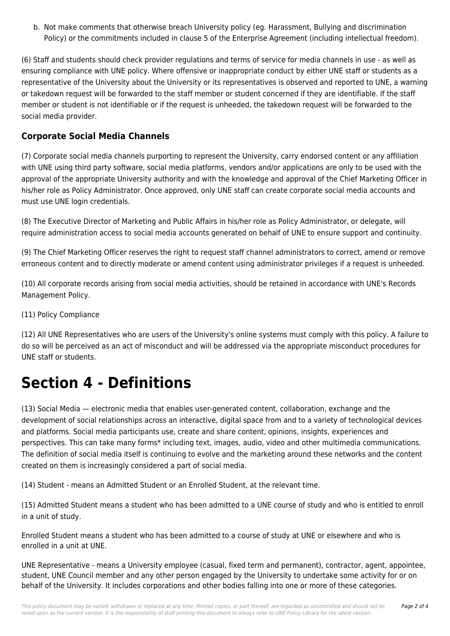b. Not make comments that otherwise breach University policy (eg. Harassment, Bullying and discrimination Policy) or the commitments included in clause 5 of the Enterprise Agreement (including intellectual freedom).

(6) Staff and students should check provider regulations and terms of service for media channels in use - as well as ensuring compliance with UNE policy. Where offensive or inappropriate conduct by either UNE staff or students as a representative of the University about the University or its representatives is observed and reported to UNE, a warning or takedown request will be forwarded to the staff member or student concerned if they are identifiable. If the staff member or student is not identifiable or if the request is unheeded, the takedown request will be forwarded to the social media provider.

#### **Corporate Social Media Channels**

(7) Corporate social media channels purporting to represent the University, carry endorsed content or any affiliation with UNE using third party software, social media platforms, vendors and/or applications are only to be used with the approval of the appropriate University authority and with the knowledge and approval of the Chief Marketing Officer in his/her role as Policy Administrator. Once approved, only UNE staff can create corporate social media accounts and must use UNE login credentials.

(8) The Executive Director of Marketing and Public Affairs in his/her role as Policy Administrator, or delegate, will require administration access to social media accounts generated on behalf of UNE to ensure support and continuity.

(9) The Chief Marketing Officer reserves the right to request staff channel administrators to correct, amend or remove erroneous content and to directly moderate or amend content using administrator privileges if a request is unheeded.

(10) All corporate records arising from social media activities, should be retained in accordance with UNE's Records Management Policy.

(11) Policy Compliance

(12) All UNE Representatives who are users of the University's online systems must comply with this policy. A failure to do so will be perceived as an act of misconduct and will be addressed via the appropriate misconduct procedures for UNE staff or students.

## **Section 4 - Definitions**

(13) Social Media — electronic media that enables user-generated content, collaboration, exchange and the development of social relationships across an interactive, digital space from and to a variety of technological devices and platforms. Social media participants use, create and share content, opinions, insights, experiences and perspectives. This can take many forms\* including text, images, audio, video and other multimedia communications. The definition of social media itself is continuing to evolve and the marketing around these networks and the content created on them is increasingly considered a part of social media.

(14) Student - means an Admitted Student or an Enrolled Student, at the relevant time.

(15) Admitted Student means a student who has been admitted to a UNE course of study and who is entitled to enroll in a unit of study.

Enrolled Student means a student who has been admitted to a course of study at UNE or elsewhere and who is enrolled in a unit at UNE.

UNE Representative - means a University employee (casual, fixed term and permanent), contractor, agent, appointee, student, UNE Council member and any other person engaged by the University to undertake some activity for or on behalf of the University. It includes corporations and other bodies falling into one or more of these categories.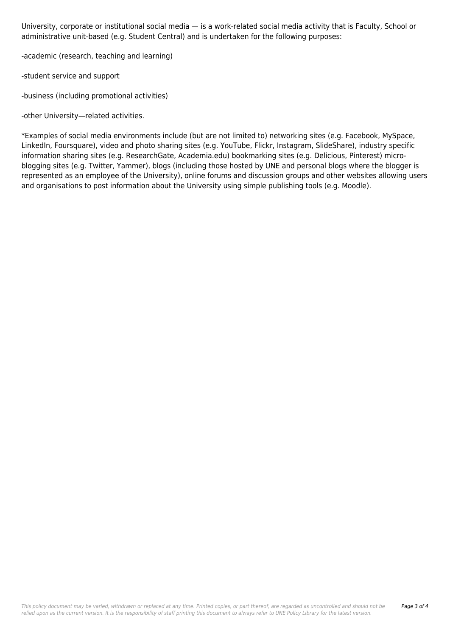University, corporate or institutional social media — is a work-related social media activity that is Faculty, School or administrative unit-based (e.g. Student Central) and is undertaken for the following purposes:

-academic (research, teaching and learning)

-student service and support

-business (including promotional activities)

-other University—related activities.

\*Examples of social media environments include (but are not limited to) networking sites (e.g. Facebook, MySpace, LinkedIn, Foursquare), video and photo sharing sites (e.g. YouTube, Flickr, Instagram, SlideShare), industry specific information sharing sites (e.g. ResearchGate, Academia.edu) bookmarking sites (e.g. Delicious, Pinterest) microblogging sites (e.g. Twitter, Yammer), blogs (including those hosted by UNE and personal blogs where the blogger is represented as an employee of the University), online forums and discussion groups and other websites allowing users and organisations to post information about the University using simple publishing tools (e.g. Moodle).